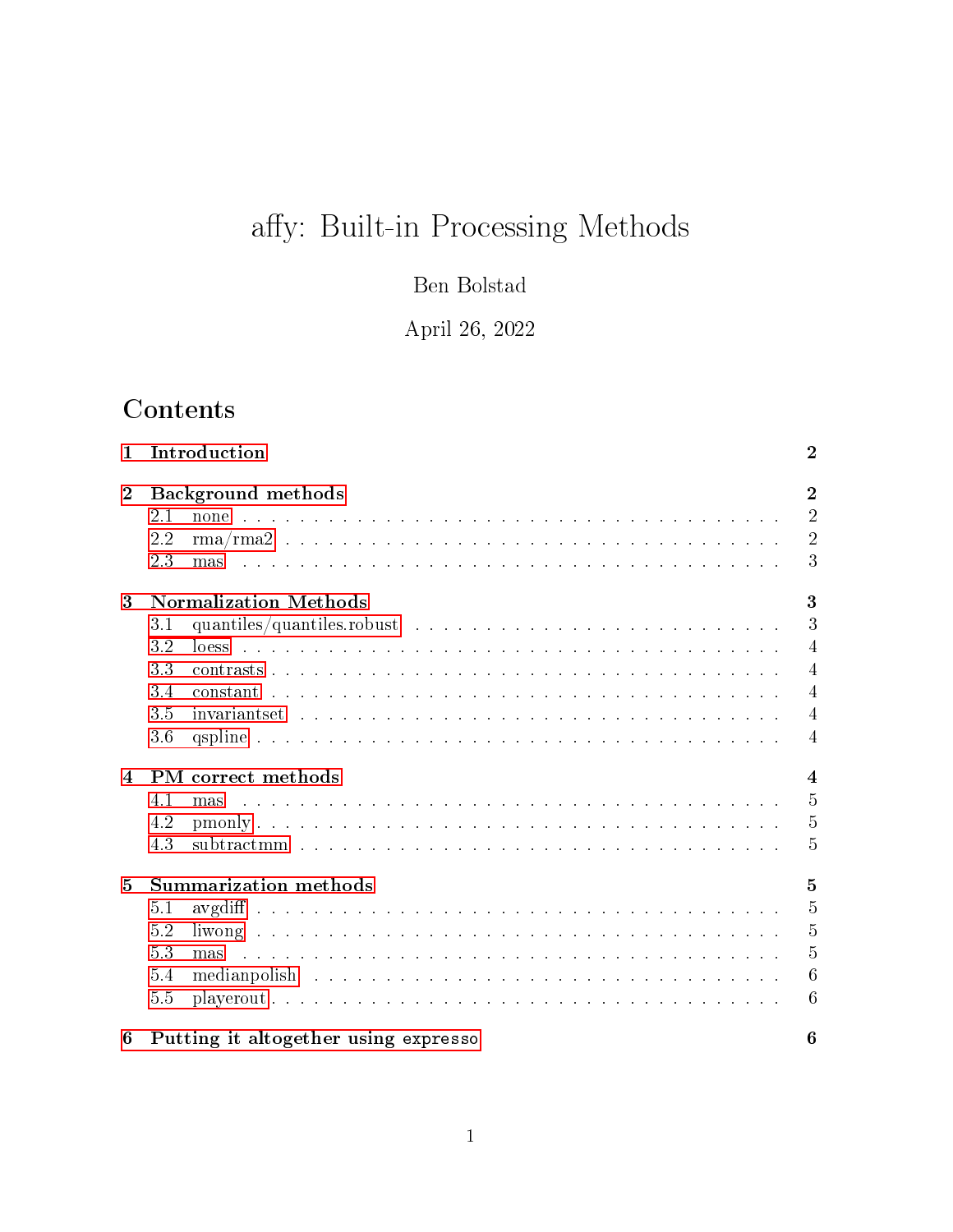# affy: Built-in Processing Methods

Ben Bolstad

April 26, 2022

# **Contents**

| Introduction<br>$\mathbf 1$ |                                      |                                                                                                                              |                 |  |  |  |  |
|-----------------------------|--------------------------------------|------------------------------------------------------------------------------------------------------------------------------|-----------------|--|--|--|--|
| $\boldsymbol{2}$            | <b>Background</b> methods            |                                                                                                                              |                 |  |  |  |  |
|                             | 2.1                                  |                                                                                                                              | $\overline{2}$  |  |  |  |  |
|                             | 2.2                                  |                                                                                                                              | $\overline{2}$  |  |  |  |  |
|                             | 2.3                                  | <u>. A series de la característica de la característica de la característica de la característica de la caracterí</u><br>mas | 3               |  |  |  |  |
| 3                           | 3<br><b>Normalization Methods</b>    |                                                                                                                              |                 |  |  |  |  |
|                             | 3.1                                  |                                                                                                                              | 3               |  |  |  |  |
|                             | 3.2                                  |                                                                                                                              | $\overline{4}$  |  |  |  |  |
|                             | 3.3                                  |                                                                                                                              | $\overline{4}$  |  |  |  |  |
|                             | 3.4                                  |                                                                                                                              | $\overline{4}$  |  |  |  |  |
|                             | 3.5                                  |                                                                                                                              | $\overline{4}$  |  |  |  |  |
|                             | 3.6                                  |                                                                                                                              | $\overline{4}$  |  |  |  |  |
| $\overline{4}$              | PM correct methods<br>$\overline{4}$ |                                                                                                                              |                 |  |  |  |  |
|                             | 4.1                                  | mas                                                                                                                          | $\overline{5}$  |  |  |  |  |
|                             | 4.2                                  |                                                                                                                              | 5               |  |  |  |  |
|                             | 4.3                                  |                                                                                                                              | 5               |  |  |  |  |
| 5                           | <b>Summarization methods</b>         |                                                                                                                              |                 |  |  |  |  |
|                             | 5.1                                  |                                                                                                                              | $\overline{5}$  |  |  |  |  |
|                             | 5.2                                  |                                                                                                                              | $\overline{5}$  |  |  |  |  |
|                             | 5.3                                  | mas                                                                                                                          | $\overline{5}$  |  |  |  |  |
|                             | 5.4                                  |                                                                                                                              | $6\phantom{.}6$ |  |  |  |  |
|                             | 5.5                                  | $playerout \dots \dots \dots \dots \dots \dots \dots \dots \dots \dots \dots \dots \dots \dots \dots \dots \dots$            | 6               |  |  |  |  |
| 6                           |                                      | Putting it altogether using expresso<br>6                                                                                    |                 |  |  |  |  |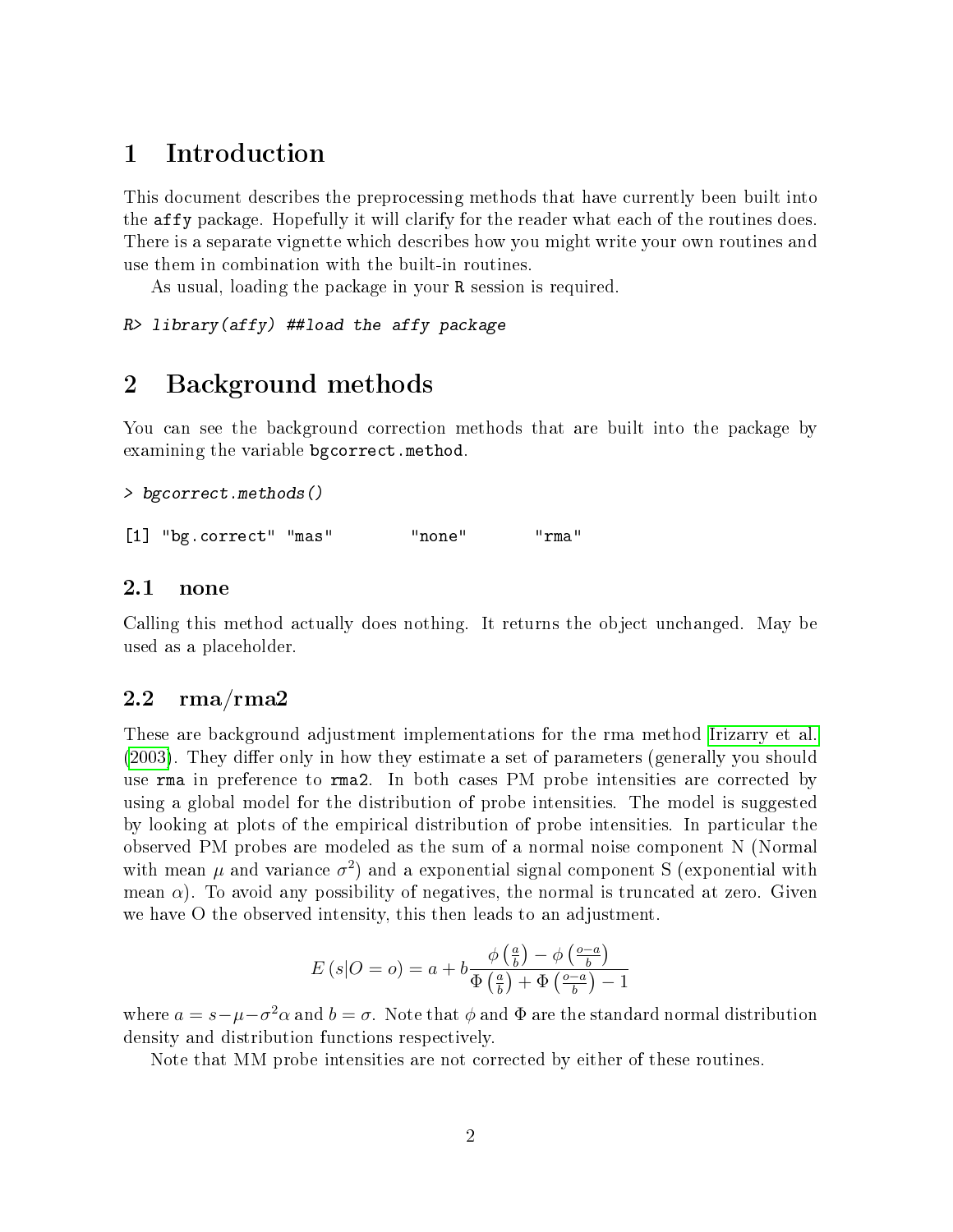# <span id="page-1-0"></span>1 Introduction

This document describes the preprocessing methods that have currently been built into the affy package. Hopefully it will clarify for the reader what each of the routines does. There is a separate vignette which describes how you might write your own routines and use them in combination with the built-in routines.

As usual, loading the package in your R session is required.

R> library(affy) ##load the affy package

# <span id="page-1-1"></span>2 Background methods

You can see the background correction methods that are built into the package by examining the variable bgcorrect.method.

```
> bgcorrect.methods()
```
[1] "bg.correct" "mas" "none" "rma"

#### <span id="page-1-2"></span>2.1 none

Calling this method actually does nothing. It returns the object unchanged. May be used as a placeholder.

#### <span id="page-1-3"></span> $2.2 \quad {\rm rms}/{\rm rms}$

These are background adjustment implementations for the rma method [Irizarry et al.](#page-6-0) [\(2003\)](#page-6-0). They differ only in how they estimate a set of parameters (generally you should use rma in preference to rma2. In both cases PM probe intensities are corrected by using a global model for the distribution of probe intensities. The model is suggested by looking at plots of the empirical distribution of probe intensities. In particular the observed PM probes are modeled as the sum of a normal noise component N (Normal with mean  $\mu$  and variance  $\sigma^2$ ) and a exponential signal component S (exponential with mean  $\alpha$ ). To avoid any possibility of negatives, the normal is truncated at zero. Given we have O the observed intensity, this then leads to an adjustment.

$$
E(s|O = o) = a + b \frac{\phi\left(\frac{a}{b}\right) - \phi\left(\frac{o - a}{b}\right)}{\Phi\left(\frac{a}{b}\right) + \Phi\left(\frac{o - a}{b}\right) - 1}
$$

where  $a = s - \mu - \sigma^2 \alpha$  and  $b = \sigma$ . Note that  $\phi$  and  $\Phi$  are the standard normal distribution density and distribution functions respectively.

Note that MM probe intensities are not corrected by either of these routines.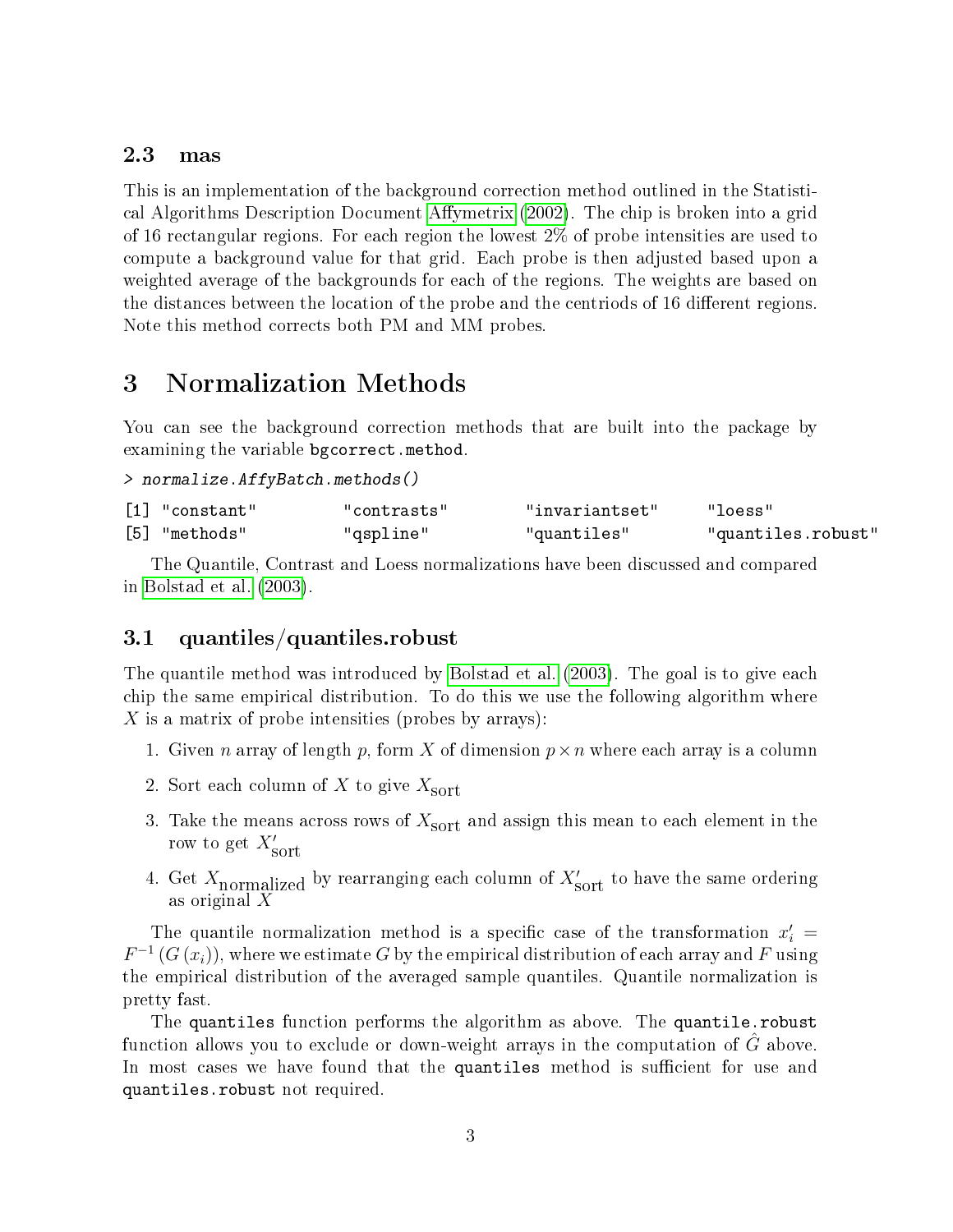### <span id="page-2-0"></span>2.3 mas

This is an implementation of the background correction method outlined in the Statisti-cal Algorithms Description Document Affymetrix [\(2002\)](#page-6-1). The chip is broken into a grid of 16 rectangular regions. For each region the lowest 2% of probe intensities are used to compute a background value for that grid. Each probe is then adjusted based upon a weighted average of the backgrounds for each of the regions. The weights are based on the distances between the location of the probe and the centriods of 16 different regions. Note this method corrects both PM and MM probes.

# <span id="page-2-1"></span>3 Normalization Methods

You can see the background correction methods that are built into the package by examining the variable bgcorrect.method.

```
> normalize.AffyBatch.methods()
```

| $\lceil 1 \rceil$ "constant" | "contrasts" | "invariantset" | "loess"            |
|------------------------------|-------------|----------------|--------------------|
| [5] "methods"                | "qspline"   | "quantiles"    | "quantiles.robust" |

The Quantile, Contrast and Loess normalizations have been discussed and compared in [Bolstad et al.](#page-6-2) [\(2003\)](#page-6-2).

### <span id="page-2-2"></span>3.1 quantiles/quantiles.robust

The quantile method was introduced by [Bolstad et al.](#page-6-2) [\(2003\)](#page-6-2). The goal is to give each chip the same empirical distribution. To do this we use the following algorithm where X is a matrix of probe intensities (probes by arrays):

- 1. Given n array of length p, form X of dimension  $p \times n$  where each array is a column
- 2. Sort each column of X to give  $X_{\text{sort}}$
- 3. Take the means across rows of  $X_{\text{sort}}$  and assign this mean to each element in the row to get  $X'_{\text{sort}}$
- 4. Get  $X_{\text{normalized}}$  by rearranging each column of  $X'_{\text{sort}}$  to have the same ordering as original X

The quantile normalization method is a specific case of the transformation  $x_i' =$  $F^{-1}\left(G\left(x_{i}\right)\right)$ , where we estimate  $G$  by the empirical distribution of each array and  $F$  using the empirical distribution of the averaged sample quantiles. Quantile normalization is pretty fast.

The quantiles function performs the algorithm as above. The quantile.robust function allows you to exclude or down-weight arrays in the computation of  $\tilde{G}$  above. In most cases we have found that the quantiles method is sufficient for use and quantiles.robust not required.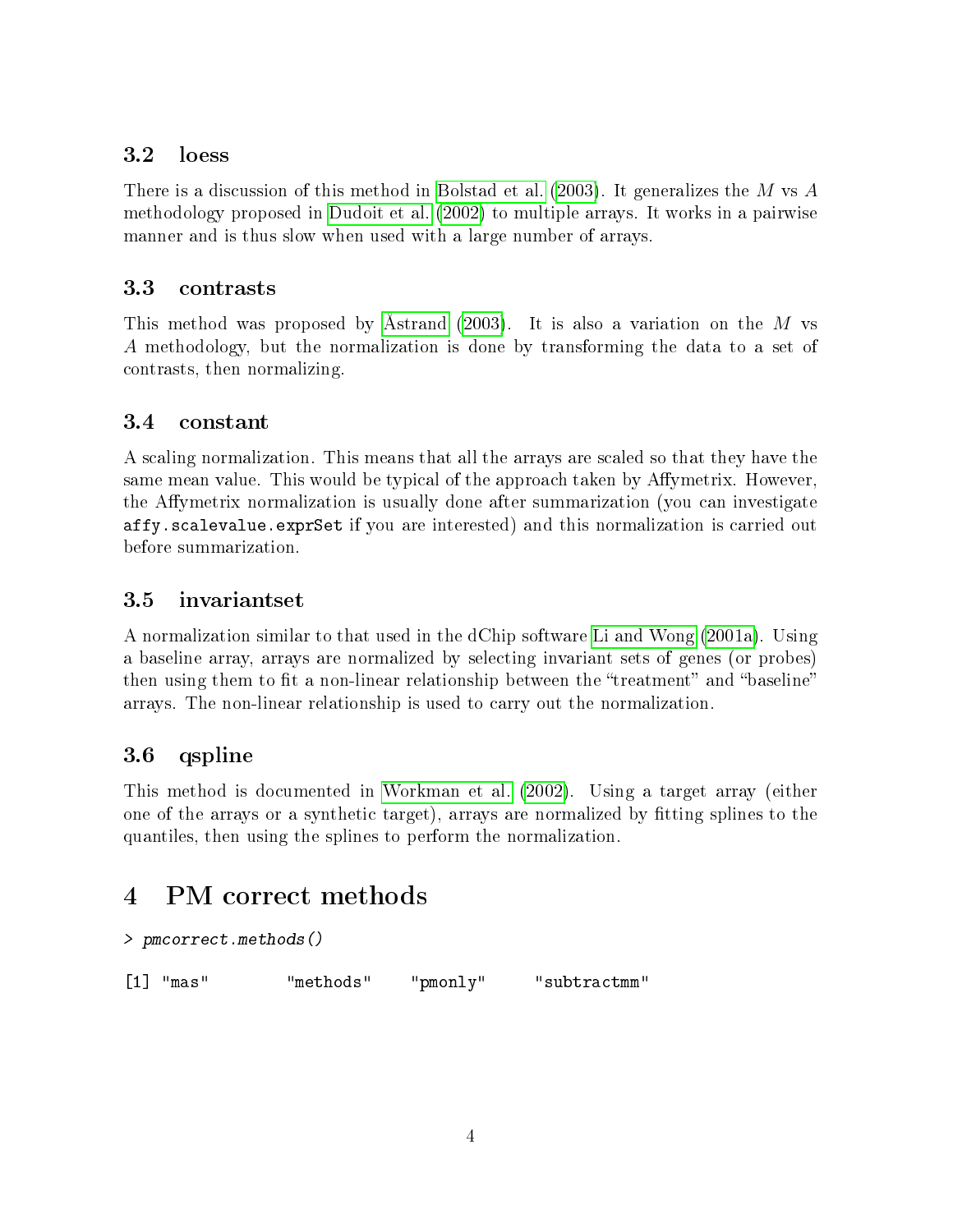### <span id="page-3-0"></span>3.2 loess

There is a discussion of this method in [Bolstad et al.](#page-6-2) [\(2003\)](#page-6-2). It generalizes the M vs  $\ddot{A}$ methodology proposed in [Dudoit et al.](#page-6-3) [\(2002\)](#page-6-3) to multiple arrays. It works in a pairwise manner and is thus slow when used with a large number of arrays.

### <span id="page-3-1"></span>3.3 contrasts

This method was proposed by [Åstrand](#page-6-4) [\(2003\)](#page-6-4). It is also a variation on the M vs A methodology, but the normalization is done by transforming the data to a set of contrasts, then normalizing.

## <span id="page-3-2"></span>3.4 constant

A scaling normalization. This means that all the arrays are scaled so that they have the same mean value. This would be typical of the approach taken by Affymetrix. However, the Affymetrix normalization is usually done after summarization (you can investigate affy.scalevalue.exprSet if you are interested) and this normalization is carried out before summarization.

## <span id="page-3-3"></span>3.5 invariantset

A normalization similar to that used in the dChip software [Li and Wong](#page-6-5) [\(2001a\)](#page-6-5). Using a baseline array, arrays are normalized by selecting invariant sets of genes (or probes) then using them to fit a non-linear relationship between the "treatment" and "baseline" arrays. The non-linear relationship is used to carry out the normalization.

# <span id="page-3-4"></span>3.6 qspline

This method is documented in [Workman et al.](#page-6-6) [\(2002\)](#page-6-6). Using a target array (either one of the arrays or a synthetic target), arrays are normalized by tting splines to the quantiles, then using the splines to perform the normalization.

# <span id="page-3-5"></span>4 PM correct methods

```
> pmcorrect.methods()
[1] "mas" "methods" "pmonly" "subtractmm"
```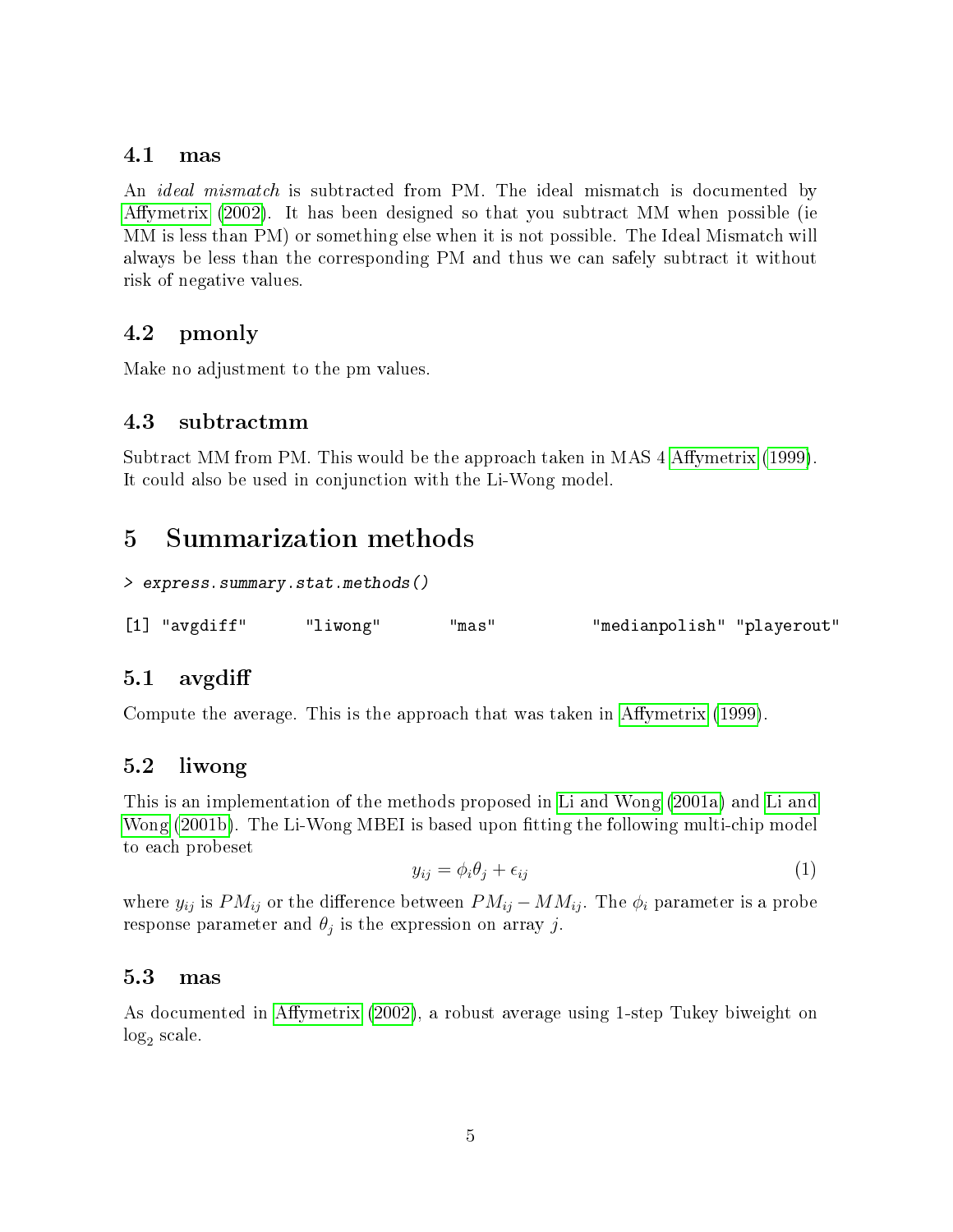### <span id="page-4-0"></span>4.1 mas

An *ideal mismatch* is subtracted from PM. The ideal mismatch is documented by Affymetrix [\(2002\)](#page-6-1). It has been designed so that you subtract MM when possible (ie MM is less than PM) or something else when it is not possible. The Ideal Mismatch will always be less than the corresponding PM and thus we can safely subtract it without risk of negative values.

## <span id="page-4-1"></span>4.2 pmonly

Make no adjustment to the pm values.

### <span id="page-4-2"></span>4.3 subtractmm

Subtract MM from PM. This would be the approach taken in MAS 4 Affymetrix [\(1999\)](#page-6-7). It could also be used in conjunction with the Li-Wong model.

# <span id="page-4-3"></span>5 Summarization methods

```
> express.summary.stat.methods()
```
[1] "avgdiff" "liwong" "mas" "medianpolish" "playerout"

### <span id="page-4-4"></span>5.1 avgdi

Compute the average. This is the approach that was taken in Affymetrix [\(1999\)](#page-6-7).

### <span id="page-4-5"></span>5.2 liwong

This is an implementation of the methods proposed in [Li and Wong](#page-6-5) [\(2001a\)](#page-6-5) and [Li and](#page-6-8) [Wong](#page-6-8) [\(2001b\)](#page-6-8). The Li-Wong MBEI is based upon fitting the following multi-chip model to each probeset

$$
y_{ij} = \phi_i \theta_j + \epsilon_{ij} \tag{1}
$$

where  $y_{ij}$  is  $PM_{ij}$  or the difference between  $PM_{ij} - MM_{ij}$ . The  $\phi_i$  parameter is a probe response parameter and  $\theta_j$  is the expression on array  $j$ .

### <span id="page-4-6"></span>5.3 mas

As documented in Affymetrix [\(2002\)](#page-6-1), a robust average using 1-step Tukey biweight on  $log<sub>2</sub>$  scale.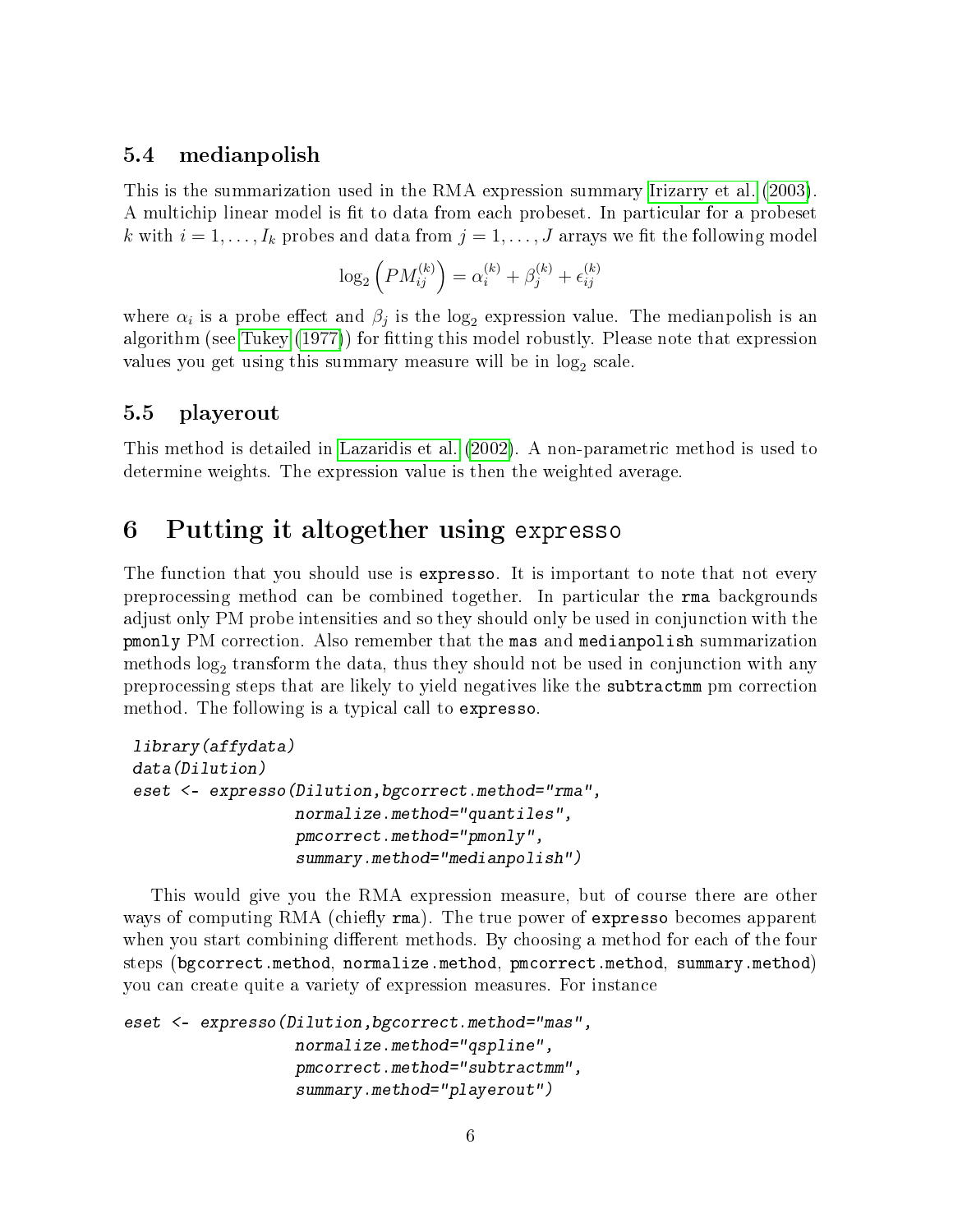### <span id="page-5-0"></span>5.4 medianpolish

This is the summarization used in the RMA expression summary [Irizarry et al.](#page-6-0) [\(2003\)](#page-6-0). A multichip linear model is fit to data from each probeset. In particular for a probeset k with  $i = 1, \ldots, I_k$  probes and data from  $j = 1, \ldots, J$  arrays we fit the following model

$$
\log_2\left(PM_{ij}^{(k)}\right) = \alpha_i^{(k)} + \beta_j^{(k)} + \epsilon_{ij}^{(k)}
$$

where  $\alpha_i$  is a probe effect and  $\beta_j$  is the log<sub>2</sub> expression value. The medianpolish is an algorithm (see [Tukey](#page-6-9) [\(1977\)](#page-6-9)) for fitting this model robustly. Please note that expression values you get using this summary measure will be in  $\log_2$  scale.

### <span id="page-5-1"></span>5.5 playerout

This method is detailed in [Lazaridis et al.](#page-6-10) [\(2002\)](#page-6-10). A non-parametric method is used to determine weights. The expression value is then the weighted average.

# <span id="page-5-2"></span>6 Putting it altogether using expresso

The function that you should use is expresso. It is important to note that not every preprocessing method can be combined together. In particular the rma backgrounds adjust only PM probe intensities and so they should only be used in conjunction with the pmonly PM correction. Also remember that the mas and medianpolish summarization methods  $\log_2$  transform the data, thus they should not be used in conjunction with any preprocessing steps that are likely to yield negatives like the subtractmm pm correction method. The following is a typical call to expresso.

```
library(affydata)
data(Dilution)
eset <- expresso(Dilution,bgcorrect.method="rma",
                 normalize.method="quantiles",
                 pmcorrect.method="pmonly",
                 summary.method="medianpolish")
```
This would give you the RMA expression measure, but of course there are other ways of computing RMA (chiefly rma). The true power of expresso becomes apparent when you start combining different methods. By choosing a method for each of the four steps (bgcorrect.method, normalize.method, pmcorrect.method, summary.method) you can create quite a variety of expression measures. For instance

```
eset <- expresso(Dilution,bgcorrect.method="mas",
                  normalize.method="qspline",
                  pmcorrect.method="subtractmm",
                  summary.method="playerout")
```